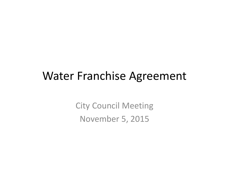### Water Franchise Agreement

City Council Meeting November 5, 2015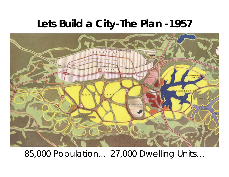#### **Lets Build a City-The Plan -1957**



85,000 Population... 27,000 Dwelling Units…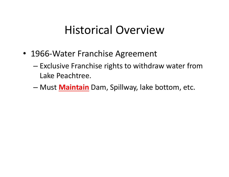### Historical Overview

- 1966‐Water Franchise Agreement
	- Exclusive Franchise rights to withdraw water from Lake Peachtree.
	- Must **Maintain** Dam, Spillway, lake bottom, etc.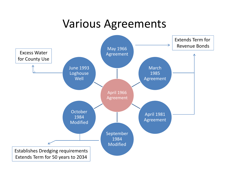### Various Agreements

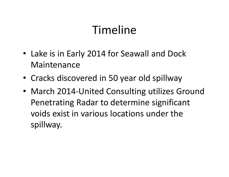- Lake is in Early 2014 for Seawall and Dock Maintenance
- Cracks discovered in 50 year old spillway
- March 2014‐United Consulting utilizes Ground Penetrating Radar to determine significant voids exist in various locations under the spillway.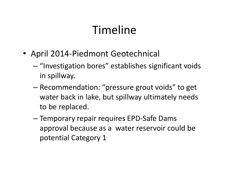- April 2014‐Piedmont Geotechnical
	- "Investigation bores" establishes significant voids in spillway.
	- Recommendation: "pressure grout voids" to get water back in lake, but spillway ultimately needs to be replaced.
	- Temporary repair requires EPD‐Safe Dams approval because as <sup>a</sup> water reservoir could be potential Category 1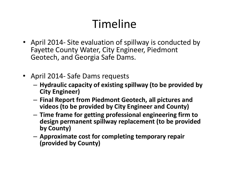- April 2014‐ Site evaluation of spillway is conducted by Fayette County Water, City Engineer, Piedmont Geotech, and Georgia Safe Dams.
- April 2014‐ Safe Dams requests
	- **Hydraulic capacity of existing spillway (to be provided by City Engineer)**
	- – **Final Report from Piedmont Geotech, all pictures and videos (to be provided by City Engineer and County)**
	- – **Time frame for getting professional engineering firm to design permanent spillway replacement (to be provided by County)**
	- – **Approximate cost for completing temporary repair (provided by County)**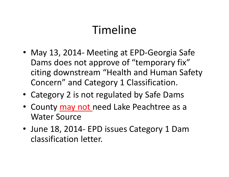- May 13, 2014‐ Meeting at EPD‐Georgia Safe Dams does not approve of "temporary fix" citing downstream "Health and Human Safety Concern" and Category 1 Classification.
- Category 2 is not regulated by Safe Dams
- County may not need Lake Peachtree as a Water Source
- June 18, 2014‐ EPD issues Category 1 Dam classification letter.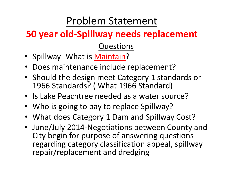### Problem Statement

### **50 year old‐Spillway needs replacement**

Questions

- Spillway- What is Maintain?
- •Does maintenance include replacement?
- Should the design meet Category 1 standards or 1966 Standards? ( What 1966 Standard)
- Is Lake Peachtree needed as a water source?
- Who is going to pay to replace Spillway?
- What does Category 1 Dam and Spillway Cost?
- June/July 2014‐Negotiations between County and City begin for purpose of answering questions regarding category classification appeal, spillway repair/replacement and dredging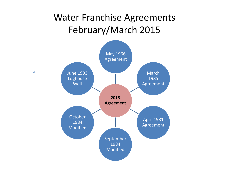#### Water Franchise Agreements February/March 2015

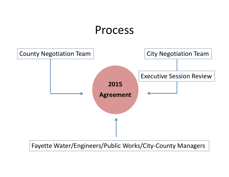### Process



#### Fayette Water/Engineers/Public Works/City‐County Managers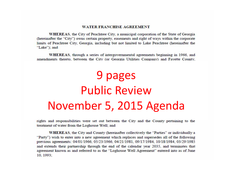#### **WATER FRANCHISE AGREEMENT**

WHEREAS, the City of Peachtree City, a municipal corporation of the State of Georgia (hereinafter the "City") owns certain property, easements and right of ways within the corporate limits of Peachtree City, Georgia, including but not limited to Lake Peachtree (hereinafter the "Lake"); and

WHEREAS, through a series of intergovernmental agreements beginning in 1966, and amendments thereto, between the City (or Georgia Utilities Connany) and Favette County.

## 9 pages Public ReviewNovember 5, 2015 Agenda

rights and responsibilities were set out between the City and the County pertaining to the treatment of water from the Loghouse Well; and

WHEREAS, the City and County (hereinafter collectively the "Parties" or individually a "Party") wish to enter into a new agreement which replaces and supersedes all of the following previous agreements: 04/01/1966, 05/23/1966, 04/21/1981, 09/17/1984, 10/18/1984, 03/29/1985 and extends their partnership through the end of the calendar year 2035, and terminates that agreement known as and referred to as the "Loghouse Well Agreement" entered into as of June 10, 1993;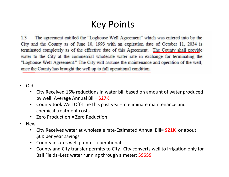#### Key Points

 $1<sub>3</sub>$ The agreement entitled the "Loghouse Well Agreement" which was entered into by the City and the County as of June 10, 1993 with an expiration date of October 11, 2034 is terminated completely as of the effective date of this Agreement. The County shall provide water to the City at the commercial wholesale water rate in exchange for terminating the "Loghouse Well Agreement." The City will assume the maintenance and operation of the well, once the County has brought the well up to full operational condition.

- $\bullet$  Old
	- • City Received 15% reductions in water bill based on amount of water produced by well: Average Annual Bill= **\$27K**
	- • County took Well Off‐Line this past year‐To eliminate maintenance and chemical treatment costs
	- Zero Production <sup>=</sup> Zero Reduction
- $\bullet$  New
	- • City Receives water at wholesale rate‐Estimated Annual Bill= **\$21K** or about \$6K per year savings
	- County insures well pump is operational
	- • County and City transfer permits to City. City converts well to irrigation only for Ball Fields=Less water running through a meter: \$\$\$\$\$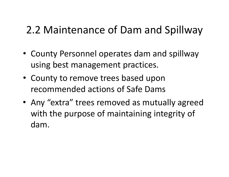### 2.2 Maintenance of Dam and Spillway

- County Personnel operates dam and spillway using best management practices.
- County to remove trees based upon recommended actions of Safe Dams
- Any "extra" trees removed as mutually agreed with the purpose of maintaining integrity of dam.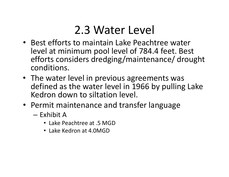### 2.3 Water Level

- Best efforts to maintain Lake Peachtree water level at minimum pool level of 784.4 feet. Best efforts considers dredging/maintenance/ drought conditions.
- The water level in previous agreements was defined as the water level in 1966 by pulling Lake Kedron down to siltation level.
- Permit maintenance and transfer language
	- Exhibit A
		- Lake Peachtree at .5 MGD
		- Lake Kedron at 4.0MGD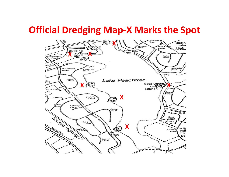#### **Official Dredging Map‐X Marks the Spot**

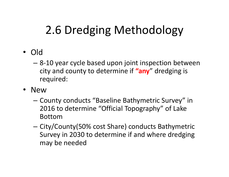### 2.6 Dredging Methodology

- Old
	- – 8‐10 year cycle based upon joint inspection between city and county to determine if **"any**" dredging is required:
- New
	- – $-$  County conducts "Baseline Bathymetric Survey" in 2016 to determine "Official Topography" of Lake Bottom
	- – $-$  City/County(50% cost Share) conducts Bathymetric Survey in 2030 to determine if and where dredging may be needed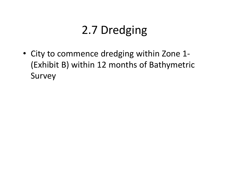### 2.7 Dredging

• City to commence dredging within Zone 1‐ (Exhibit B) within 12 months of Bathymetric Survey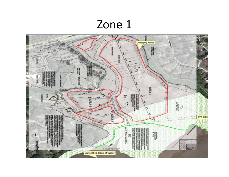### Zone 1

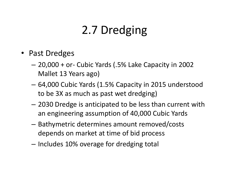### 2.7 Dredging

- Past Dredges
	- – 20,000 <sup>+</sup> or‐ Cubic Yards (.5% Lake Capacity in 2002 Mallet 13 Years ago)
	- – 64,000 Cubic Yards (1.5% Capacity in 2015 understood to be 3X as much as past wet dredging)
	- – 2030 Dredge is anticipated to be less than current with an engineering assumption of 40,000 Cubic Yards
	- – Bathymetric determines amount removed/costs depends on market at time of bid process
	- Includes 10% overage for dredging total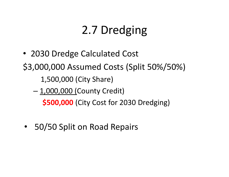### 2.7 Dredging

- 2030 Dredge Calculated Cost \$3,000,000 Assumed Costs (Split 50%/50%) 1,500,000 (City Share)
	- <u>1,000,000 (</u>County Credit) **\$500,000** (City Cost for 2030 Dredging)
	- 50/50 Split on Road Repairs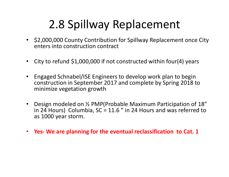### 2.8 Spillway Replacement

- \$2,000,000 County Contribution for Spillway Replacement once City enters into construction contract
- •City to refund \$1,000,000 if not constructed within four(4) years
- • Engaged Schnabel/ISE Engineers to develop work plan to begin construction in September 2017 and complete by Spring 2018 to minimize vegetation growth
- Design modeled on ½ PMP(Probable Maximum Participation of 18" in 24 Hours) Columbia, SC <sup>=</sup> 11.6 " in 24 Hours and was referred to as 1000 year storm.
- **Yes‐ We are planning for the eventual reclassification to Cat. 1**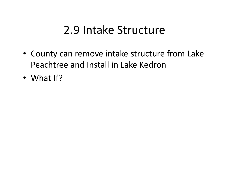### 2.9 Intake Structure

- County can remove intake structure from Lake Peachtree and Install in Lake Kedron
- What If?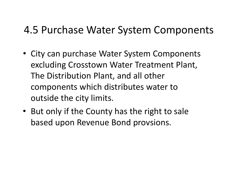### 4.5 Purchase Water System Components

- City can purchase Water System Components excluding Crosstown Water Treatment Plant, The Distribution Plant, and all other components which distributes water to outside the city limits.
- But only if the County has the right to sale based upon Revenue Bond provsions.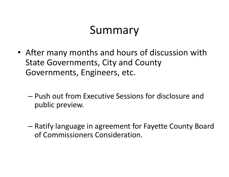### Summary

- After many months and hours of discussion with State Governments, City and County Governments, Engineers, etc.
	- Push out from Executive Sessions for disclosure and public preview.
	- Ratify language in agreement for Fayette County Board of Commissioners Consideration.